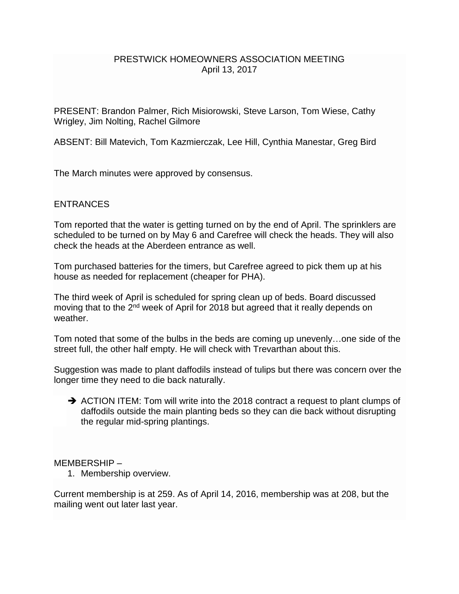### PRESTWICK HOMEOWNERS ASSOCIATION MEETING April 13, 2017

PRESENT: Brandon Palmer, Rich Misiorowski, Steve Larson, Tom Wiese, Cathy Wrigley, Jim Nolting, Rachel Gilmore

ABSENT: Bill Matevich, Tom Kazmierczak, Lee Hill, Cynthia Manestar, Greg Bird

The March minutes were approved by consensus.

## **ENTRANCES**

Tom reported that the water is getting turned on by the end of April. The sprinklers are scheduled to be turned on by May 6 and Carefree will check the heads. They will also check the heads at the Aberdeen entrance as well.

Tom purchased batteries for the timers, but Carefree agreed to pick them up at his house as needed for replacement (cheaper for PHA).

The third week of April is scheduled for spring clean up of beds. Board discussed moving that to the 2<sup>nd</sup> week of April for 2018 but agreed that it really depends on weather.

Tom noted that some of the bulbs in the beds are coming up unevenly…one side of the street full, the other half empty. He will check with Trevarthan about this.

Suggestion was made to plant daffodils instead of tulips but there was concern over the longer time they need to die back naturally.

 $\rightarrow$  ACTION ITEM: Tom will write into the 2018 contract a request to plant clumps of daffodils outside the main planting beds so they can die back without disrupting the regular mid-spring plantings.

MEMBERSHIP –

1. Membership overview.

Current membership is at 259. As of April 14, 2016, membership was at 208, but the mailing went out later last year.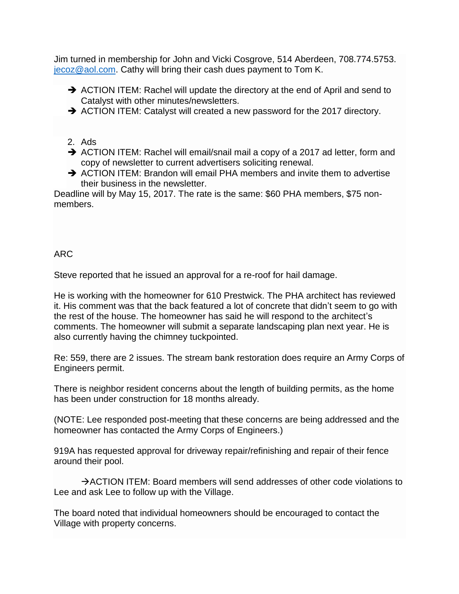Jim turned in membership for John and Vicki Cosgrove, 514 Aberdeen, 708.774.5753. [jecoz@aol.com.](mailto:jecoz@aol.com) Cathy will bring their cash dues payment to Tom K.

- ACTION ITEM: Rachel will update the directory at the end of April and send to Catalyst with other minutes/newsletters.
- ACTION ITEM: Catalyst will created a new password for the 2017 directory.
- 2. Ads
- ACTION ITEM: Rachel will email/snail mail a copy of a 2017 ad letter, form and copy of newsletter to current advertisers soliciting renewal.
- $\rightarrow$  ACTION ITEM: Brandon will email PHA members and invite them to advertise their business in the newsletter.

Deadline will by May 15, 2017. The rate is the same: \$60 PHA members, \$75 nonmembers.

# ARC

Steve reported that he issued an approval for a re-roof for hail damage.

He is working with the homeowner for 610 Prestwick. The PHA architect has reviewed it. His comment was that the back featured a lot of concrete that didn't seem to go with the rest of the house. The homeowner has said he will respond to the architect's comments. The homeowner will submit a separate landscaping plan next year. He is also currently having the chimney tuckpointed.

Re: 559, there are 2 issues. The stream bank restoration does require an Army Corps of Engineers permit.

There is neighbor resident concerns about the length of building permits, as the home has been under construction for 18 months already.

(NOTE: Lee responded post-meeting that these concerns are being addressed and the homeowner has contacted the Army Corps of Engineers.)

919A has requested approval for driveway repair/refinishing and repair of their fence around their pool.

 $\rightarrow$  ACTION ITEM: Board members will send addresses of other code violations to Lee and ask Lee to follow up with the Village.

The board noted that individual homeowners should be encouraged to contact the Village with property concerns.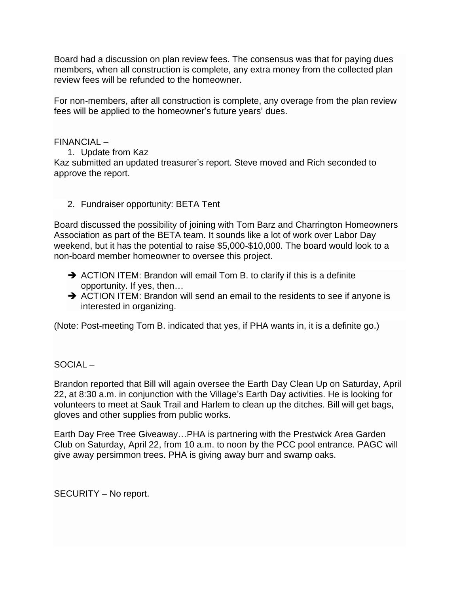Board had a discussion on plan review fees. The consensus was that for paying dues members, when all construction is complete, any extra money from the collected plan review fees will be refunded to the homeowner.

For non-members, after all construction is complete, any overage from the plan review fees will be applied to the homeowner's future years' dues.

FINANCIAL –

- 1. Update from Kaz Kaz submitted an updated treasurer's report. Steve moved and Rich seconded to approve the report.
	- 2. Fundraiser opportunity: BETA Tent

Board discussed the possibility of joining with Tom Barz and Charrington Homeowners Association as part of the BETA team. It sounds like a lot of work over Labor Day weekend, but it has the potential to raise \$5,000-\$10,000. The board would look to a non-board member homeowner to oversee this project.

- $\rightarrow$  ACTION ITEM: Brandon will email Tom B. to clarify if this is a definite opportunity. If yes, then…
- ACTION ITEM: Brandon will send an email to the residents to see if anyone is interested in organizing.

(Note: Post-meeting Tom B. indicated that yes, if PHA wants in, it is a definite go.)

SOCIAL –

Brandon reported that Bill will again oversee the Earth Day Clean Up on Saturday, April 22, at 8:30 a.m. in conjunction with the Village's Earth Day activities. He is looking for volunteers to meet at Sauk Trail and Harlem to clean up the ditches. Bill will get bags, gloves and other supplies from public works.

Earth Day Free Tree Giveaway…PHA is partnering with the Prestwick Area Garden Club on Saturday, April 22, from 10 a.m. to noon by the PCC pool entrance. PAGC will give away persimmon trees. PHA is giving away burr and swamp oaks.

SECURITY – No report.